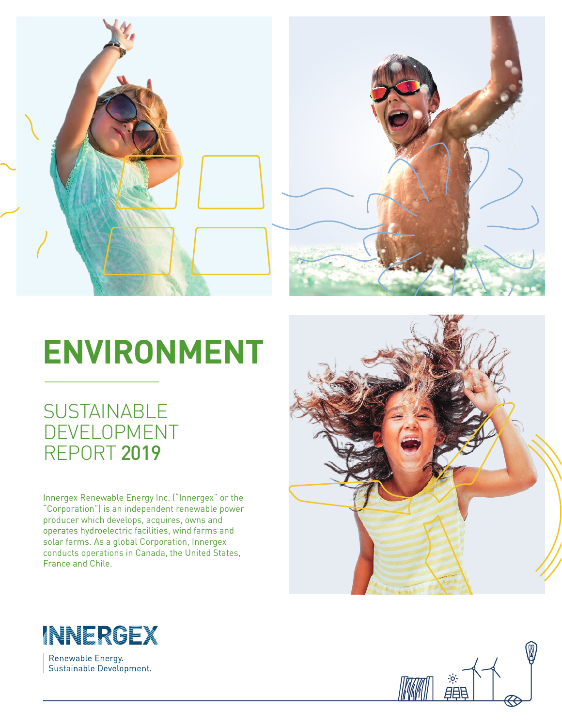



## **ENVIRONMENT**

### **SUSTAINABLE** DEVELOPMENT REPORT 2019

Innergex Renewable Energy Inc. ("Innergex" or the "Corporation") is an independent renewable power producer which develops, acquires, owns and operates hydroelectric facilities, wind farms and solar farms. As a global Corporation, Innergex conducts operations in Canada, the United States, France and Chile.





Renewable Energy. Sustainable Development.

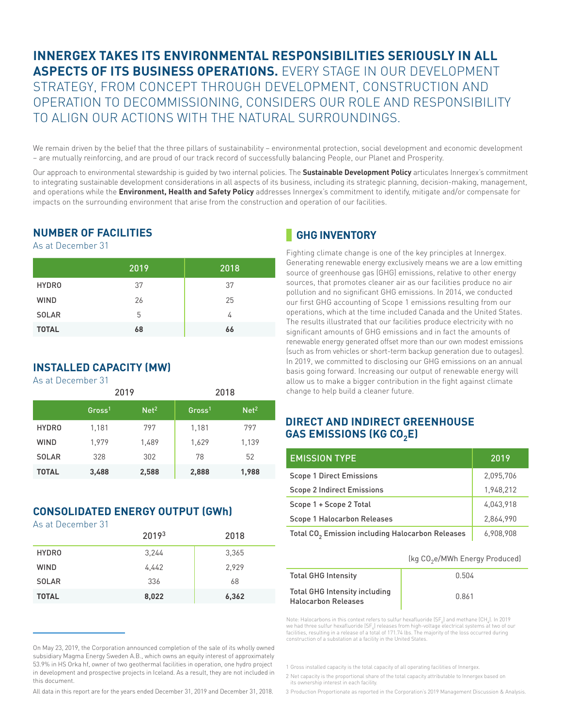### **INNERGEX TAKES ITS ENVIRONMENTAL RESPONSIBILITIES SERIOUSLY IN ALL ASPECTS OF ITS BUSINESS OPERATIONS.** EVERY STAGE IN OUR DEVELOPMENT STRATEGY, FROM CONCEPT THROUGH DEVELOPMENT, CONSTRUCTION AND OPERATION TO DECOMMISSIONING, CONSIDERS OUR ROLE AND RESPONSIBILITY TO ALIGN OUR ACTIONS WITH THE NATURAL SURROUNDINGS.

We remain driven by the belief that the three pillars of sustainability – environmental protection, social development and economic development – are mutually reinforcing, and are proud of our track record of successfully balancing People, our Planet and Prosperity.

Our approach to environmental stewardship is guided by two internal policies. The **Sustainable Development Policy** articulates Innergex's commitment to integrating sustainable development considerations in all aspects of its business, including its strategic planning, decision-making, management, and operations while the **Environment, Health and Safety Policy** addresses Innergex's commitment to identify, mitigate and/or compensate for impacts on the surrounding environment that arise from the construction and operation of our facilities.

### **NUMBER OF FACILITIES**

As at December 31

|              | 2019 | 2018 |
|--------------|------|------|
| <b>HYDRO</b> | 37   | 37   |
| <b>WIND</b>  | 26   | 25   |
| <b>SOLAR</b> | 5    | 4    |
| <b>TOTAL</b> | 68   | 66   |

### **INSTALLED CAPACITY (MW)**

As at December 31

|              | 2019               |                  | 2018               |                  |
|--------------|--------------------|------------------|--------------------|------------------|
|              | Gross <sup>1</sup> | Net <sup>2</sup> | Gross <sup>1</sup> | Net <sup>2</sup> |
| <b>HYDRO</b> | 1,181              | 797              | 1,181              | 797              |
| <b>WIND</b>  | 1,979              | 1,489            | 1,629              | 1,139            |
| <b>SOLAR</b> | 328                | 302              | 78                 | 52               |
| <b>TOTAL</b> | 3,488              | 2,588            | 2,888              | 1,988            |

### **CONSOLIDATED ENERGY OUTPUT (GWh)**

As at December 31

|              | 20193 | 2018  |
|--------------|-------|-------|
| <b>HYDRO</b> | 3,244 | 3,365 |
| <b>WIND</b>  | 4,442 | 2,929 |
| <b>SOLAR</b> | 336   | 68    |
| <b>TOTAL</b> | 8,022 | 6,362 |

All data in this report are for the years ended December 31, 2019 and December 31, 2018.

### **GHG INVENTORY**

Fighting climate change is one of the key principles at Innergex. Generating renewable energy exclusively means we are a low emitting source of greenhouse gas (GHG) emissions, relative to other energy sources, that promotes cleaner air as our facilities produce no air pollution and no significant GHG emissions. In 2014, we conducted our first GHG accounting of Scope 1 emissions resulting from our operations, which at the time included Canada and the United States. The results illustrated that our facilities produce electricity with no significant amounts of GHG emissions and in fact the amounts of renewable energy generated offset more than our own modest emissions (such as from vehicles or short-term backup generation due to outages). In 2019, we committed to disclosing our GHG emissions on an annual basis going forward. Increasing our output of renewable energy will allow us to make a bigger contribution in the fight against climate change to help build a cleaner future.

### **DIRECT AND INDIRECT GREENHOUSE GAS EMISSIONS (KG CO<sub>2</sub>E)**

| <b>EMISSION TYPE</b>                                         | 2019      |
|--------------------------------------------------------------|-----------|
| <b>Scope 1 Direct Emissions</b>                              | 2,095,706 |
| <b>Scope 2 Indirect Emissions</b>                            | 1,948,212 |
| Scope 1 + Scope 2 Total                                      | 4.043.918 |
| <b>Scope 1 Halocarbon Releases</b>                           | 2.864.990 |
| Total CO <sub>2</sub> Emission including Halocarbon Releases | 6,908,908 |

(kg CO<sub>2</sub>e/MWh Energy Produced)

| Total GHG Intensity                                  | 0.504 |
|------------------------------------------------------|-------|
| Total GHG Intensity including<br>Halocarbon Releases | 0.861 |

Note: Halocarbons in this context refers to sulfur hexafluoride (SF,) and methane (CH,). In 2019 we had three sulfur hexafluoride (SF<sub>6</sub>) releases from high-voltage electrical systems at two of our<br>facilities, resulting in a release of a total of 171.74 lbs. The majority of the loss occurred during construction of a substation at a facility in the United States.

2 Net capacity is the proportional share of the total capacity attributable to Innergex based on its ownership interest in each facility.

3 Production Proportionate as reported in the Corporation's 2019 Management Discussion & Analysis.

On May 23, 2019, the Corporation announced completion of the sale of its wholly owned subsidiary Magma Energy Sweden A.B., which owns an equity interest of approximately 53.9% in HS Orka hf, owner of two geothermal facilities in operation, one hydro project in development and prospective projects in Iceland. As a result, they are not included in this document.

<sup>1</sup> Gross installed capacity is the total capacity of all operating facilities of Innergex.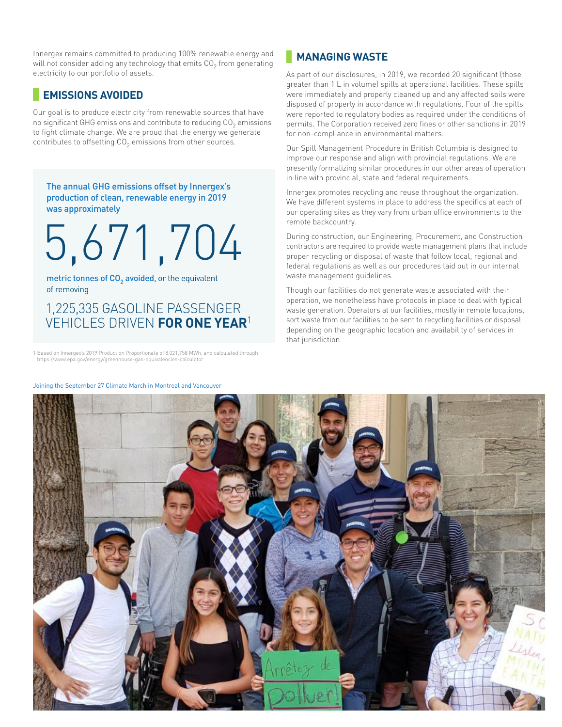Innergex remains committed to producing 100% renewable energy and will not consider adding any technology that emits CO<sub>2</sub> from generating electricity to our portfolio of assets.

### **EMISSIONS AVOIDED**

Our goal is to produce electricity from renewable sources that have no significant GHG emissions and contribute to reducing CO<sub>2</sub> emissions to fight climate change. We are proud that the energy we generate contributes to offsetting  $CO<sub>2</sub>$  emissions from other sources.

The annual GHG emissions offset by Innergex's production of clean, renewable energy in 2019 was approximately

# 5,671,704

metric tonnes of  $CO<sub>2</sub>$  avoided, or the equivalent of removing

### 1,225,335 GASOLINE PASSENGER VEHICLES DRIVEN **FOR ONE YEAR**<sup>1</sup>

1 Based on Innergex's 2019 Production Proportionate of 8,021,758 MWh, and calculated through https://www.epa.gov/energy/greenhouse-gas-equivalencies-calculator

#### Joining the September 27 Climate March in Montreal and Vancouver

### **MANAGING WASTE**

As part of our disclosures, in 2019, we recorded 20 significant (those greater than 1 L in volume) spills at operational facilities. These spills were immediately and properly cleaned up and any affected soils were disposed of properly in accordance with regulations. Four of the spills were reported to regulatory bodies as required under the conditions of permits. The Corporation received zero fines or other sanctions in 2019 for non-compliance in environmental matters.

Our Spill Management Procedure in British Columbia is designed to improve our response and align with provincial regulations. We are presently formalizing similar procedures in our other areas of operation in line with provincial, state and federal requirements.

Innergex promotes recycling and reuse throughout the organization. We have different systems in place to address the specifics at each of our operating sites as they vary from urban office environments to the remote backcountry.

During construction, our Engineering, Procurement, and Construction contractors are required to provide waste management plans that include proper recycling or disposal of waste that follow local, regional and federal regulations as well as our procedures laid out in our internal waste management guidelines.

Though our facilities do not generate waste associated with their operation, we nonetheless have protocols in place to deal with typical waste generation. Operators at our facilities, mostly in remote locations, sort waste from our facilities to be sent to recycling facilities or disposal depending on the geographic location and availability of services in that jurisdiction.